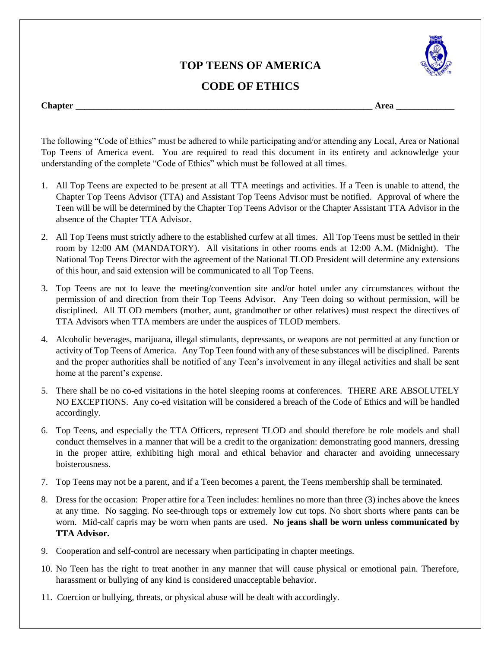## **TOP TEENS OF AMERICA**



## **CODE OF ETHICS**

## **Chapter** \_\_\_\_\_\_\_\_\_\_\_\_\_\_\_\_\_\_\_\_\_\_\_\_\_\_\_\_\_\_\_\_\_\_\_\_\_\_\_\_\_\_\_\_\_\_\_\_\_\_\_\_\_\_\_\_\_\_\_\_\_\_\_\_\_\_ **Area** \_\_\_\_\_\_\_\_\_\_\_\_\_

The following "Code of Ethics" must be adhered to while participating and/or attending any Local, Area or National Top Teens of America event. You are required to read this document in its entirety and acknowledge your understanding of the complete "Code of Ethics" which must be followed at all times.

- 1. All Top Teens are expected to be present at all TTA meetings and activities. If a Teen is unable to attend, the Chapter Top Teens Advisor (TTA) and Assistant Top Teens Advisor must be notified. Approval of where the Teen will be will be determined by the Chapter Top Teens Advisor or the Chapter Assistant TTA Advisor in the absence of the Chapter TTA Advisor.
- 2. All Top Teens must strictly adhere to the established curfew at all times. All Top Teens must be settled in their room by 12:00 AM (MANDATORY). All visitations in other rooms ends at 12:00 A.M. (Midnight). The National Top Teens Director with the agreement of the National TLOD President will determine any extensions of this hour, and said extension will be communicated to all Top Teens.
- 3. Top Teens are not to leave the meeting/convention site and/or hotel under any circumstances without the permission of and direction from their Top Teens Advisor. Any Teen doing so without permission, will be disciplined. All TLOD members (mother, aunt, grandmother or other relatives) must respect the directives of TTA Advisors when TTA members are under the auspices of TLOD members.
- 4. Alcoholic beverages, marijuana, illegal stimulants, depressants, or weapons are not permitted at any function or activity of Top Teens of America. Any Top Teen found with any of these substances will be disciplined. Parents and the proper authorities shall be notified of any Teen's involvement in any illegal activities and shall be sent home at the parent's expense.
- 5. There shall be no co-ed visitations in the hotel sleeping rooms at conferences. THERE ARE ABSOLUTELY NO EXCEPTIONS. Any co-ed visitation will be considered a breach of the Code of Ethics and will be handled accordingly.
- 6. Top Teens, and especially the TTA Officers, represent TLOD and should therefore be role models and shall conduct themselves in a manner that will be a credit to the organization: demonstrating good manners, dressing in the proper attire, exhibiting high moral and ethical behavior and character and avoiding unnecessary boisterousness.
- 7. Top Teens may not be a parent, and if a Teen becomes a parent, the Teens membership shall be terminated.
- 8. Dress for the occasion: Proper attire for a Teen includes: hemlines no more than three (3) inches above the knees at any time. No sagging. No see-through tops or extremely low cut tops. No short shorts where pants can be worn. Mid-calf capris may be worn when pants are used. **No jeans shall be worn unless communicated by TTA Advisor.**
- 9. Cooperation and self-control are necessary when participating in chapter meetings.
- 10. No Teen has the right to treat another in any manner that will cause physical or emotional pain. Therefore, harassment or bullying of any kind is considered unacceptable behavior.
- 11. Coercion or bullying, threats, or physical abuse will be dealt with accordingly.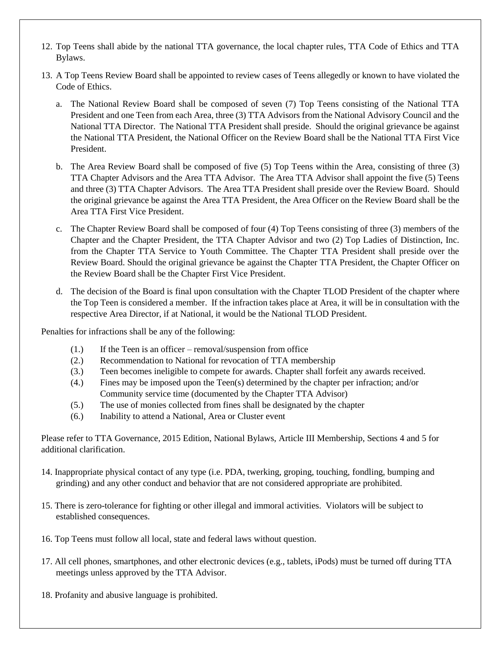- 12. Top Teens shall abide by the national TTA governance, the local chapter rules, TTA Code of Ethics and TTA Bylaws.
- 13. A Top Teens Review Board shall be appointed to review cases of Teens allegedly or known to have violated the Code of Ethics.
	- a. The National Review Board shall be composed of seven (7) Top Teens consisting of the National TTA President and one Teen from each Area, three (3) TTA Advisors from the National Advisory Council and the National TTA Director. The National TTA President shall preside. Should the original grievance be against the National TTA President, the National Officer on the Review Board shall be the National TTA First Vice President.
	- b. The Area Review Board shall be composed of five (5) Top Teens within the Area, consisting of three (3) TTA Chapter Advisors and the Area TTA Advisor. The Area TTA Advisor shall appoint the five (5) Teens and three (3) TTA Chapter Advisors. The Area TTA President shall preside over the Review Board. Should the original grievance be against the Area TTA President, the Area Officer on the Review Board shall be the Area TTA First Vice President.
	- c. The Chapter Review Board shall be composed of four (4) Top Teens consisting of three (3) members of the Chapter and the Chapter President, the TTA Chapter Advisor and two (2) Top Ladies of Distinction, Inc. from the Chapter TTA Service to Youth Committee. The Chapter TTA President shall preside over the Review Board. Should the original grievance be against the Chapter TTA President, the Chapter Officer on the Review Board shall be the Chapter First Vice President.
	- d. The decision of the Board is final upon consultation with the Chapter TLOD President of the chapter where the Top Teen is considered a member. If the infraction takes place at Area, it will be in consultation with the respective Area Director, if at National, it would be the National TLOD President.

Penalties for infractions shall be any of the following:

- (1.) If the Teen is an officer removal/suspension from office
- (2.) Recommendation to National for revocation of TTA membership
- (3.) Teen becomes ineligible to compete for awards. Chapter shall forfeit any awards received.
- (4.) Fines may be imposed upon the Teen(s) determined by the chapter per infraction; and/or Community service time (documented by the Chapter TTA Advisor)
- (5.) The use of monies collected from fines shall be designated by the chapter
- (6.) Inability to attend a National, Area or Cluster event

Please refer to TTA Governance, 2015 Edition, National Bylaws, Article III Membership, Sections 4 and 5 for additional clarification.

- 14. Inappropriate physical contact of any type (i.e. PDA, twerking, groping, touching, fondling, bumping and grinding) and any other conduct and behavior that are not considered appropriate are prohibited.
- 15. There is zero-tolerance for fighting or other illegal and immoral activities. Violators will be subject to established consequences.
- 16. Top Teens must follow all local, state and federal laws without question.
- 17. All cell phones, smartphones, and other electronic devices (e.g., tablets, iPods) must be turned off during TTA meetings unless approved by the TTA Advisor.
- 18. Profanity and abusive language is prohibited.